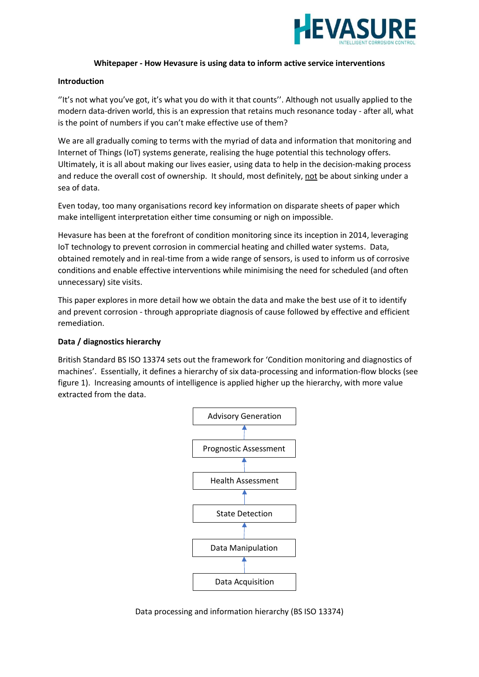

## **Whitepaper - How Hevasure is using data to inform active service interventions**

### **Introduction**

''It's not what you've got, it's what you do with it that counts''. Although not usually applied to the modern data-driven world, this is an expression that retains much resonance today - after all, what is the point of numbers if you can't make effective use of them?

We are all gradually coming to terms with the myriad of data and information that monitoring and Internet of Things (IoT) systems generate, realising the huge potential this technology offers. Ultimately, it is all about making our lives easier, using data to help in the decision-making process and reduce the overall cost of ownership. It should, most definitely, not be about sinking under a sea of data.

Even today, too many organisations record key information on disparate sheets of paper which make intelligent interpretation either time consuming or nigh on impossible.

Hevasure has been at the forefront of condition monitoring since its inception in 2014, leveraging IoT technology to prevent corrosion in commercial heating and chilled water systems. Data, obtained remotely and in real-time from a wide range of sensors, is used to inform us of corrosive conditions and enable effective interventions while minimising the need for scheduled (and often unnecessary) site visits.

This paper explores in more detail how we obtain the data and make the best use of it to identify and prevent corrosion - through appropriate diagnosis of cause followed by effective and efficient remediation.

#### **Data / diagnostics hierarchy**

British Standard BS ISO 13374 sets out the framework for 'Condition monitoring and diagnostics of machines'. Essentially, it defines a hierarchy of six data-processing and information-flow blocks (see figure 1). Increasing amounts of intelligence is applied higher up the hierarchy, with more value extracted from the data.



Data processing and information hierarchy (BS ISO 13374)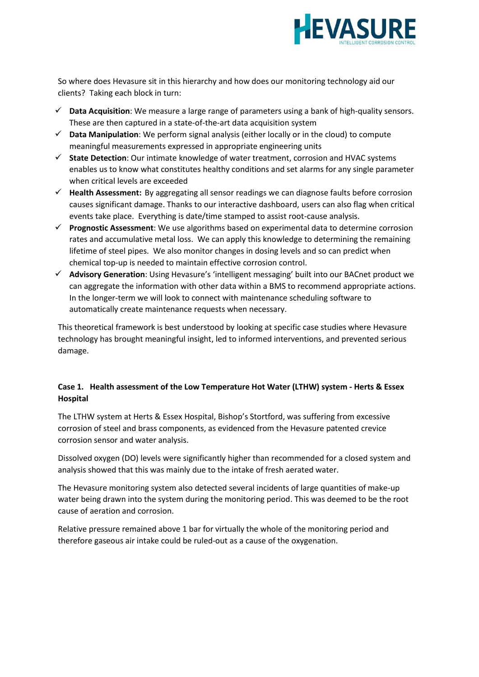

So where does Hevasure sit in this hierarchy and how does our monitoring technology aid our clients? Taking each block in turn:

- ✓ **Data Acquisition**: We measure a large range of parameters using a bank of high-quality sensors. These are then captured in a state-of-the-art data acquisition system
- ✓ **Data Manipulation**: We perform signal analysis (either locally or in the cloud) to compute meaningful measurements expressed in appropriate engineering units
- ✓ **State Detection**: Our intimate knowledge of water treatment, corrosion and HVAC systems enables us to know what constitutes healthy conditions and set alarms for any single parameter when critical levels are exceeded
- ✓ **Health Assessment:** By aggregating all sensor readings we can diagnose faults before corrosion causes significant damage. Thanks to our interactive dashboard, users can also flag when critical events take place. Everything is date/time stamped to assist root-cause analysis.
- ✓ **Prognostic Assessment**: We use algorithms based on experimental data to determine corrosion rates and accumulative metal loss. We can apply this knowledge to determining the remaining lifetime of steel pipes. We also monitor changes in dosing levels and so can predict when chemical top-up is needed to maintain effective corrosion control.
- ✓ **Advisory Generation**: Using Hevasure's 'intelligent messaging' built into our BACnet product we can aggregate the information with other data within a BMS to recommend appropriate actions. In the longer-term we will look to connect with maintenance scheduling software to automatically create maintenance requests when necessary.

This theoretical framework is best understood by looking at specific case studies where Hevasure technology has brought meaningful insight, led to informed interventions, and prevented serious damage.

# **Case 1. Health assessment of the Low Temperature Hot Water (LTHW) system - Herts & Essex Hospital**

The LTHW system at Herts & Essex Hospital, Bishop's Stortford, was suffering from excessive corrosion of steel and brass components, as evidenced from the Hevasure patented crevice corrosion sensor and water analysis.

Dissolved oxygen (DO) levels were significantly higher than recommended for a closed system and analysis showed that this was mainly due to the intake of fresh aerated water.

The Hevasure monitoring system also detected several incidents of large quantities of make-up water being drawn into the system during the monitoring period. This was deemed to be the root cause of aeration and corrosion.

Relative pressure remained above 1 bar for virtually the whole of the monitoring period and therefore gaseous air intake could be ruled-out as a cause of the oxygenation.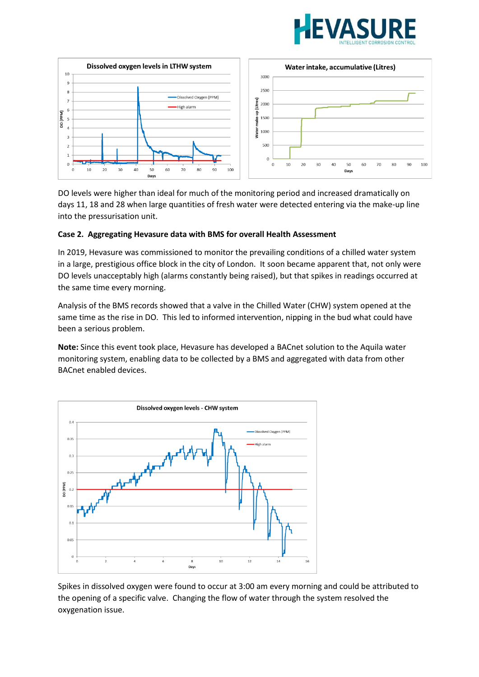



DO levels were higher than ideal for much of the monitoring period and increased dramatically on days 11, 18 and 28 when large quantities of fresh water were detected entering via the make-up line into the pressurisation unit.

# **Case 2. Aggregating Hevasure data with BMS for overall Health Assessment**

In 2019, Hevasure was commissioned to monitor the prevailing conditions of a chilled water system in a large, prestigious office block in the city of London. It soon became apparent that, not only were DO levels unacceptably high (alarms constantly being raised), but that spikes in readings occurred at the same time every morning.

Analysis of the BMS records showed that a valve in the Chilled Water (CHW) system opened at the same time as the rise in DO. This led to informed intervention, nipping in the bud what could have been a serious problem.

**Note:** Since this event took place, Hevasure has developed a BACnet solution to the Aquila water monitoring system, enabling data to be collected by a BMS and aggregated with data from other BACnet enabled devices.



Spikes in dissolved oxygen were found to occur at 3:00 am every morning and could be attributed to the opening of a specific valve. Changing the flow of water through the system resolved the oxygenation issue.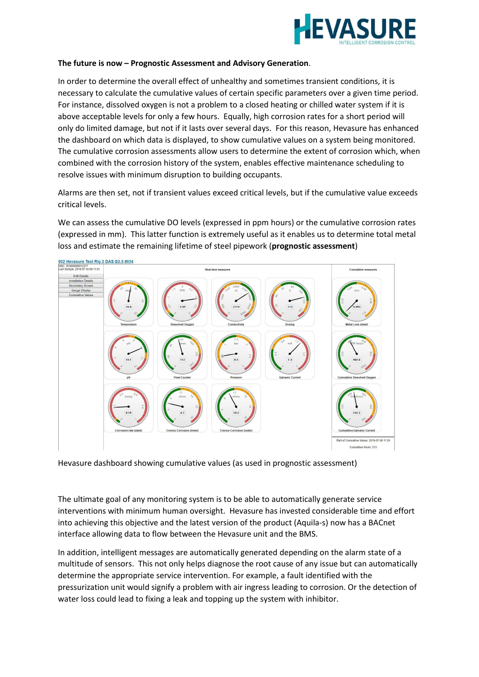

## **The future is now – Prognostic Assessment and Advisory Generation**.

In order to determine the overall effect of unhealthy and sometimes transient conditions, it is necessary to calculate the cumulative values of certain specific parameters over a given time period. For instance, dissolved oxygen is not a problem to a closed heating or chilled water system if it is above acceptable levels for only a few hours. Equally, high corrosion rates for a short period will only do limited damage, but not if it lasts over several days. For this reason, Hevasure has enhanced the dashboard on which data is displayed, to show cumulative values on a system being monitored. The cumulative corrosion assessments allow users to determine the extent of corrosion which, when combined with the corrosion history of the system, enables effective maintenance scheduling to resolve issues with minimum disruption to building occupants.

Alarms are then set, not if transient values exceed critical levels, but if the cumulative value exceeds critical levels.

We can assess the cumulative DO levels (expressed in ppm hours) or the cumulative corrosion rates (expressed in mm). This latter function is extremely useful as it enables us to determine total metal loss and estimate the remaining lifetime of steel pipework (**prognostic assessment**)



Hevasure dashboard showing cumulative values (as used in prognostic assessment)

The ultimate goal of any monitoring system is to be able to automatically generate service interventions with minimum human oversight. Hevasure has invested considerable time and effort into achieving this objective and the latest version of the product (Aquila-s) now has a BACnet interface allowing data to flow between the Hevasure unit and the BMS.

In addition, intelligent messages are automatically generated depending on the alarm state of a multitude of sensors. This not only helps diagnose the root cause of any issue but can automatically determine the appropriate service intervention. For example, a fault identified with the pressurization unit would signify a problem with air ingress leading to corrosion. Or the detection of water loss could lead to fixing a leak and topping up the system with inhibitor.